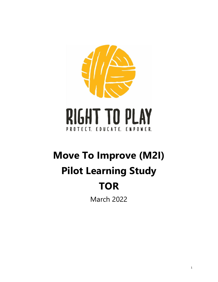

# **Move To Improve (M2I) Pilot Learning Study TOR**

March 2022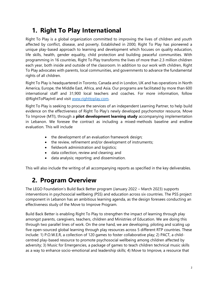# **1. Right To Play International**

Right To Play is a global organization committed to improving the lives of children and youth affected by conflict, disease, and poverty. Established in 2000, Right To Play has pioneered a unique play-based approach to learning and development which focuses on quality education, life skills, health, gender equality, child protection and building peaceful communities. With programming in 16 countries, Right To Play transforms the lives of more than 2.3 million children each year, both inside and outside of the classroom. In addition to our work with children, Right To Play advocates with parents, local communities, and governments to advance the fundamental rights of all children.

Right To Play is headquartered in Toronto, Canada and in London, UK and has operations in North America, Europe, the Middle East, Africa, and Asia. Our programs are facilitated by more than 600 international staff and 31,900 local teachers and coaches. For more information, follow @RightToPlayIntl and visit [www.righttoplay.com.](http://www.righttoplay.com/)

Right To Play is seeking to procure the services of an independent Learning Partner, to help build evidence on the effectiveness of Right To Play's newly developed psychomotor resource, Move To Improve (MTI), through a **pilot development learning study** accompanying implementation in Lebanon. We foresee the contract as including a mixed-methods baseline and endline evaluation. This will include

- the development of an evaluation framework design;
- the review, refinement and/or development of instruments;
- fieldwork administration and logistics;
- data collection, review and cleaning; and
- data analysis; reporting; and dissemination.

This will also include the writing of all accompanying reports as specified in the key deliverables.

## **2. Program Overview**

The LEGO Foundation's Build Back Better program (January 2022 – March 2023) supports interventions in psychosocial wellbeing (PSS) and education across six countries. The PSS project component in Lebanon has an ambitious learning agenda, as the design foresees conducting an effectiveness study of the Move to Improve Program.

Build Back Better is enabling Right To Play to strengthen the impact of learning through play amongst parents, caregivers, teachers, children and Ministries of Education. We are doing this through two parallel lines of work. On the one hand, we are developing, piloting and scaling up five open-sourced global learning through play resources across 5 different RTP countries. These include: 1) P.O.W.E.R, a collection of 120 games to foster collaborative play; 2) PACT, a childcentred play-based resource to promote psychosocial wellbeing among children affected by adversity; 3) Music for Emergencies, a package of games to teach children technical music skills as a way to enhance socio-emotional and leadership skills; 4) Move to Improve, a resource that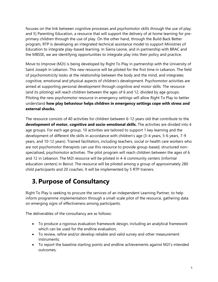focuses on the link between cognitive processes and psychomotor skills through the use of play; and 5) Parenting Education, a resource that will support the delivery of at home learning for preprimary children through the use of play. On the other hand, through the Build Back Better program, RTP is developing an integrated technical assistance model to support Ministries of Education to integrate play-based learning. In Sierra Leone, and in partnership with BRAC and the MBSSE, we are identifying opportunities to integrate play into their policy and practice.

Move to Improve (M2I) is being developed by Right To Play in partnership with the University of Saint Joseph in Lebanon. This new resource will be piloted for the first time in Lebanon. The field of psychomotricity looks at the relationship between the body and the mind, and integrates cognitive, emotional and physical aspects of children's development. Psychomotor activities are aimed at supporting personal development through cognitive and motor skills. The resource (and its piloting) will reach children between the ages of 6 and 12, divided by age groups. Piloting the new psychomotor resource in emergency settings will allow Right To Play to better understand **how play behaviour helps children in emergency settings cope with stress and external shocks.** 

The resource consists of 40 activities for children between 6-12 years old that contribute to the **development of motor, cognitive and socio-emotional skills.** The activities are divided into 4 age groups. For each age group, 10 activities are tailored to support 1 key learning and the development of different life skills in accordance with children's age (3-4 years, 5-6 years, 7-9 years, and 10-12 years). Trained facilitators, including teachers, social or health care workers who are not psychomotor therapists can use this resource to provide group-based, structured nonspecialised, psychomotor activities. The pilot program will reach children between the ages of 6 and 12 in Lebanon. The M2I resource will be piloted in 4-6 community centers (informal education centers) in Beirut. The resource will be piloted among a group of approximately 280 child participants and 20 coaches. It will be implemented by 5 RTP trainers.

# **3. Purpose of Consultancy**

Right To Play is seeking to procure the services of an independent Learning Partner, to help inform programme implementation through a small-scale pilot of the resource, gathering data on emerging signs of effectiveness among participants.

The deliverables of the consultancy are as follows:

- To produce a rigorous evaluation framework design, including an analytical framework which can be used for the endline evaluation;
- To review, refine and/or develop reliable and valid survey and other measurement instruments;
- To report the baseline starting points and endline achievements against M2I's intended outcomes;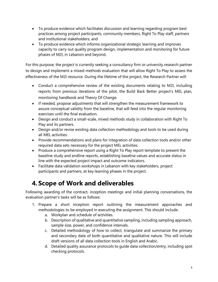- To produce evidence which facilitates discussion and learning regarding program best practices among project participants, community members, Right To Play staff, partners and institutional stakeholders; and
- To produce evidence which informs organizational strategic learning and improves capacity to carry out quality program design, implementation and monitoring for future phases of M2I, in Lebanon and beyond.

For this purpose, the project is currently seeking a consultancy firm or university research partner to design and implement a mixed-methods evaluation that will allow Right To Play to assess the effectiveness of the M2I resource. During the lifetime of the project, the Research Partner will:

- Conduct a comprehensive review of the existing documents relating to M2I, including reports from previous iterations of the pilot, the Build Back Better project's MEL plan, monitoring handbook and Theory Of Change.
- If needed, propose adjustments that will strengthen the measurement framework to assure conceptual validity from the baseline, that will feed into the regular monitoring exercises until the final evaluation.
- Design and conduct a small-scale, mixed methods study in collaboration with Right To Play and its partners.
- Design and/or revise existing data collection methodology and tools to be used during all MEL activities.
- Provide recommendations and plans for integration of data collection tools and/or other required data sets necessary for the project MEL activities.
- Produce a comprehensive report using a Right To Play report template to present the baseline study and endline reports, establishing baseline values and accurate status in line with the expected project impact and outcome indicators.
- Facilitate data validation workshops in Lebanon with key stakeholders, project participants and partners, at key learning phases in the project.

# **4. Scope of Work and deliverables**

Following awarding of the contract, inception meetings and initial planning conversations, the evaluation partner's tasks will be as follows:

- 1. Prepare a short inception report outlining the measurement approaches and methodologies to be employed in executing the assignment. This should include:
	- a. Workplan and schedule of activities.
	- b. Description of qualitative and quantitative sampling, including sampling approach, sample size, power, and confidence intervals.
	- c. Detailed methodology of how to collect, triangulate and summarize the primary and secondary data of both quantitative and qualitative nature. This will include draft versions of all data collection tools in English and Arabic.
	- d. Detailed quality assurance protocols to guide data collection/entry, including spot checking protocols.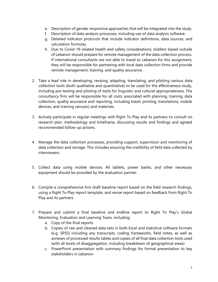- e. Description of gender responsive approaches that will be integrated into the study.
- f. Description of data analysis processes, including use of data analysis software.
- g. Detailed indicator protocols that include indicator definitions, data sources, and calculation formulas.
- h. Due to Covid-19-related health and safety considerations, bidders based outside of Lebanon should prepare for remote management of the data collection process. If international consultants are not able to travel to Lebanon for this assignment, they will be responsible for partnering with local data collection firms and provide remote management, training, and quality assurance.
- 2. Take a lead role in developing, revising, adapting, translating, and piloting various data collection tools (both qualitative and quantitative) to be used for the effectiveness study, including pre-testing and piloting of tools for linguistic and cultural appropriateness. The consultancy firm will be responsible for all costs associated with planning, training, data collection, quality assurance and reporting, including travel, printing, translations, mobile devices, and training venue(s) and materials.
- 3. Actively participate in regular meetings with Right To Play and its partners to consult on research plan, methodology and timeframe, discussing results and findings and agreed recommended follow-up actions.
- 4. Manage the data collection processes, providing support, supervision and monitoring of data collection and storage. This includes ensuring the credibility of field data collected by interviewers.
- 5. Collect data using mobile devices. All tablets, power banks, and other necessary equipment should be provided by the evaluation partner.
- 6. Compile a comprehensive first draft baseline report based on the field research findings, using a Right To Play report template, and revise report based on feedback from Right To Play and its partners.
- 7. Prepare and submit a final baseline and endline report to Right To Play's Global Monitoring, Evaluation and Learning Team, including:
	- a. Copy of the final reports
	- b. Copies of raw and cleaned data sets in both Excel and statistical software formats (e.g. SPSS) including any transcripts, coding frameworks, field notes, as well as annexes of processed results tables and copies of all final data collection tools used (with all levels of disaggregation, including breakdown of geographical areas)
	- c. PowerPoint presentation with summary findings for formal presentation to key stakeholders in Lebanon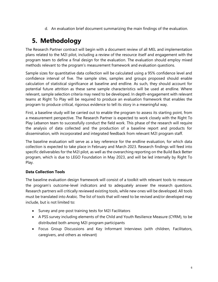d. An evaluation brief document summarizing the main findings of the evaluation.

# **5. Methodology**

The Research Partner contract will begin with a document review of all MEL and implementation plans related to the M2I pilot, including a review of the resource itself and engagement with the program team to define a final design for the evaluation. The evaluation should employ mixed methods relevant to the program's measurement framework and evaluation questions.

Sample sizes for quantitative data collection will be calculated using a 95% confidence level and confidence interval of five. The sample sites, samples and groups proposed should enable calculation of statistical significance at baseline and endline. As such, they should account for potential future attrition as these same sample characteristics will be used at endline. Where relevant, sample selection criteria may need to be developed. In depth-engagement with relevant teams at Right To Play will be required to produce an evaluation framework that enables the program to produce critical, rigorous evidence to tell its story in a meaningful way.

First, a baseline study will be carried out to enable the program to assess its starting point, from a measurement perspective. The Research Partner is expected to work closely with the Right To Play Lebanon team to successfully conduct the field work. This phase of the research will require the analysis of data collected and the production of a baseline report and products for dissemination, with incorporated and integrated feedback from relevant M2I program staff.

The baseline evaluation will serve as a key reference for the endline evaluation, for which data collection is expected to take place in February and March 2023. Research findings will feed into specific deliverables for the M2I pilot, as well as the overarching reporting on the Build Back Better program, which is due to LEGO Foundation in May 2023, and will be led internally by Right To Play.

#### **Data Collection Tools**

The baseline evaluation design framework will consist of a toolkit with relevant tools to measure the program's outcome-level indicators and to adequately answer the research questions. Research partners will critically reviewed existing tools, while new ones will be developed. All tools must be translated into Arabic. The list of tools that will need to be revised and/or developed may include, but is not limited to:

- Survey and pre-post training tests for M2I Facilitators
- A PSS survey including elements of the Child and Youth Resilience Measure (CYRM), to be distributed both among M2I program participants
- Focus Group Discussions and Key Informant Interviews (with children, Facilitators, caregivers, and others as relevant)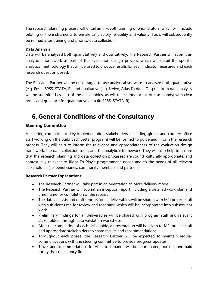The research planning process will entail an in-depth training of enumerators, which will include piloting of the instruments to ensure satisfactory reliability and validity. Tools will subsequently be refined after training and prior to data collection.

#### **Data Analysis**

Data will be analyzed both quantitatively and qualitatively. The Research Partner will submit an analytical framework as part of the evaluation design process, which will detail the specific analytical methodology that will be used to produce results for each indicator measured and each research question posed.

The Research Partner will be encouraged to use analytical software to analyze both quantitative (e.g. Excel, SPSS, STATA, R), and qualitative (e.g. NVivo, Atlas.Ti) data. Outputs from data analysis will be submitted as part of the deliverables, as will the scripts (or list of commands) with clear notes and guidance for quantitative data (in SPSS, STATA, R).

# **6. General Conditions of the Consultancy**

### **Steering Committee**

A steering committee of key implementation stakeholders (including global and country office staff working on the Build Back Better program) will be formed to guide and inform the research process. They will help to inform the relevance and appropriateness of the evaluation design framework, the data collection tools, and the analytical framework. They will also help to ensure that the research planning and data collection processes are sound, culturally appropriate, and contextually relevant to Right To Play's programmatic needs and to the needs of all relevant stakeholders (i.e. beneficiaries, community members and partners).

#### **Research Partner Expectations:**

- The Research Partner will take part in an orientation to M2I's delivery model.
- The Research Partner will submit an inception report including a detailed work plan and time frame for completion of the research.
- The data analysis and draft reports for all deliverables will be shared with M2I project staff with sufficient time for review and feedback, which will be incorporated into subsequent work.
- Preliminary findings for all deliverables will be shared with program staff and relevant stakeholders through data validation workshops.
- After the completion of each deliverable, a presentation will be given to M2I project staff and appropriate stakeholders to share results and recommendations.
- Throughout each phase, the Research Partner will be expected to maintain regular communications with the steering committee to provide progress updates.
- Travel and accommodations for visits to Lebanon will be coordinated, booked, and paid for by the consultancy firm.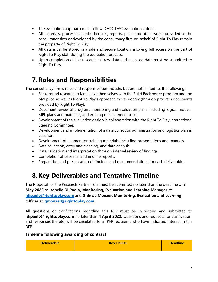- The evaluation approach must follow OECD-DAC evaluation criteria.
- All materials, processes, methodologies, reports, plans and other works provided to the consultancy firm or developed by the consultancy firm on behalf of Right To Play remain the property of Right To Play.
- All data must be stored in a safe and secure location, allowing full access on the part of Right To Play staff during the evaluation process.
- Upon completion of the research, all raw data and analyzed data must be submitted to Right To Play.

### **7.Roles and Responsibilities**

The consultancy firm's roles and responsibilities include, but are not limited to, the following:

- Background research to familiarize themselves with the Build Back better program and the M2I pilot, as well as Right To Play's approach more broadly (through program documents provided by Right To Play).
- Document review of program, monitoring and evaluation plans, including logical models, MEL plans and materials, and existing measurement tools.
- Development of the evaluation design in collaboration with the Right To Play International Steering Committee.
- Development and implementation of a data collection administration and logistics plan in Lebanon.
- Development of enumerator training materials, including presentations and manuals.
- Data collection, entry and cleaning, and data analysis.
- Data validation and interpretation through internal review of findings.
- Completion of baseline, and endline reports.
- Preparation and presentation of findings and recommendations for each deliverable.

## **8.Key Deliverables and Tentative Timeline**

The Proposal for the Research Partner role must be submitted no later than the deadline of **3 May 2022** to **Isabella Di Paolo, Monitoring, Evaluation and Learning Manager** at: **[idipaolo@righttoplay.com](mailto:idipaolo@righttoplay.com)** and **Ghinwa Monzer, Monitoring, Evaluation and Learning Officer** at: **[gmonzer@righttoplay.com.](mailto:gmonzer@righttoplay.com)** 

All questions or clarifications regarding this RFP must be in writing and submitted to **idipaolo@righttoplay.com** no later than **4 April 2022.** Questions and requests for clarification, and responses thereto, will be circulated to all RFP recipients who have indicated interest in this RFP.

#### **Timeline following awarding of contract**

| <b>Deliverable</b> | <b>Key Points</b> | <b>Deadline</b> |
|--------------------|-------------------|-----------------|
|                    |                   |                 |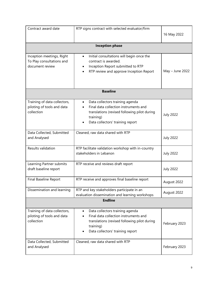| Contract award date                                                       | RTP signs contract with selected evaluator/firm                                                                                                                           | 16 May 2022      |  |  |
|---------------------------------------------------------------------------|---------------------------------------------------------------------------------------------------------------------------------------------------------------------------|------------------|--|--|
| <b>Inception phase</b>                                                    |                                                                                                                                                                           |                  |  |  |
| Inception meetings, Right<br>To Play consultations and<br>document review | Initial consultations will begin once the<br>$\bullet$<br>contract is awarded.<br>Inception Report submitted to RTP<br>RTP review and approve Inception Report            | May - June 2022  |  |  |
|                                                                           | <b>Baseline</b>                                                                                                                                                           |                  |  |  |
| Training of data collectors,<br>piloting of tools and data<br>collection  | Data collectors training agenda<br>Final data collection instruments and<br>translations (revised following pilot during<br>training)<br>Data collectors' training report | <b>July 2022</b> |  |  |
| Data Collected, Submitted<br>and Analysed                                 | Cleaned, raw data shared with RTP                                                                                                                                         | <b>July 2022</b> |  |  |
| Results validation                                                        | RTP facilitate validation workshop with in-country<br>stakeholders in Lebanon                                                                                             | <b>July 2022</b> |  |  |
| Learning Partner submits<br>draft baseline report                         | RTP receive and reviews draft report                                                                                                                                      | <b>July 2022</b> |  |  |
| Final Baseline Report                                                     | RTP receive and approves final baseline report                                                                                                                            | August 2022      |  |  |
| Dissemination and learning                                                | RTP and key stakeholders participate in an<br>evaluation dissemination and learning workshops                                                                             | August 2022      |  |  |
| <b>Endline</b>                                                            |                                                                                                                                                                           |                  |  |  |
| Training of data collectors,<br>piloting of tools and data<br>collection  | Data collectors training agenda<br>Final data collection instruments and<br>translations (revised following pilot during<br>training)<br>Data collectors' training report | February 2023    |  |  |
| Data Collected, Submitted<br>and Analysed                                 | Cleaned, raw data shared with RTP                                                                                                                                         | February 2023    |  |  |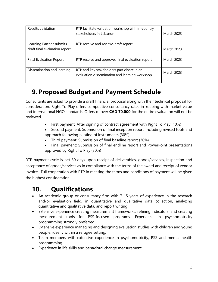| Results validation                                        | RTP facilitate validation workshop with in-country<br>stakeholders in Lebanon                | <b>March 2023</b> |
|-----------------------------------------------------------|----------------------------------------------------------------------------------------------|-------------------|
| Learning Partner submits<br>draft final evaluation report | RTP receive and reviews draft report                                                         | <b>March 2023</b> |
| <b>Final Evaluation Report</b>                            | RTP receive and approves final evaluation report                                             | <b>March 2023</b> |
| Dissemination and learning                                | RTP and key stakeholders participate in an<br>evaluation dissemination and learning workshop | <b>March 2023</b> |

# **9. Proposed Budget and Payment Schedule**

Consultants are asked to provide a draft financial proposal along with their technical proposal for consideration. Right To Play offers competitive consultancy rates in keeping with market value and international NGO standards. Offers of over **CAD 70,000** for the entire evaluation will not be reviewed.

- First payment: After signing of contract agreement with Right To Play (10%)
- Second payment: Submission of final inception report, including revised tools and approach following piloting of instruments (30%)
- Third payment: Submission of final baseline report (30%)
- Final payment: Submission of final endline report and PowerPoint presentations approved by Right To Play (30%)

RTP payment cycle is net 30 days upon receipt of deliverables, goods/services, inspection and acceptance of goods/services as in compliance with the terms of the award and receipt of vendor invoice. Full cooperation with RTP in meeting the terms and conditions of payment will be given the highest consideration.

## **10. Qualifications**

- An academic group or consultancy firm with 7-15 years of experience in the research and/or evaluation field, in quantitative and qualitative data collection, analyzing quantitative and qualitative data, and report writing.
- Extensive experience creating measurement frameworks, refining indicators, and creating measurement tools for PSS-focused programs. Experience in psychomotricity programming strongly preferred.
- Extensive experience managing and designing evaluation studies with children and young people, ideally within a refugee setting.
- Team members with extensive experience in psychomotricity, PSS and mental health programming.
- Experience in life skills and behavioral change measurement.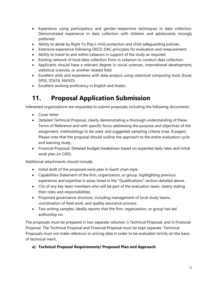- Experience using participatory and gender-responsive techniques in data collection. Demonstrated experience in data collection with children and adolescents strongly preferred.
- Ability to abide by Right To Play's child protection and child safeguarding policies.
- Extensive experience following OECD-DAC principles for evaluation and measurement.
- Ability to travel to and within Lebanon in support of the study as required.
- Existing network of local data collection firms in Lebanon to conduct data collection.
- Applicants should have a relevant degree in social sciences, international development, statistical sciences, or another related field.
- Excellent skills and experience with data analysis using statistical computing tools (Excel, SPSS, STATA, NVIVO).
- Excellent working proficiency in English and Arabic.

# **11. Proposal Application Submission**

Interested organizations are requested to submit proposals including the following documents:

- Cover letter
- Detailed Technical Proposal, clearly demonstrating a thorough understanding of these Terms of Reference and with specific focus addressing the purpose and objectives of the assignment, methodology to be used, and suggested sampling criteria (max. 8 pages). Please note that the proposal should outline the approach to the entire evaluation cycle and learning study.
- Financial Proposal: Detailed budget breakdown based on expected daily rates and initial work plan (in CAD).

Additional attachments should include:

- Initial draft of the proposed work plan in Gantt chart style.
- Capabilities Statement of the firm, organization, or group, highlighting previous experience and expertise in areas listed in the "Qualifications" section detailed above.
- CVs of any key team members who will be part of the evaluation team, clearly stating their roles and responsibilities.
- Proposed governance structure, including management of local study teams, coordination of field work, and quality assurance process.
- Two writing samples, ideally reports that the firm, organization, or group has led authorship on.

The proposals must be prepared in two separate volumes: i) Technical Proposal; and ii) Financial Proposal. The Technical Proposal and Financial Proposal must be kept separate. Technical Proposals must not make reference to pricing data in order to be evaluated strictly on the basis of technical merit.

#### **a) Technical Proposal Requirements/ Proposed Plan and Approach**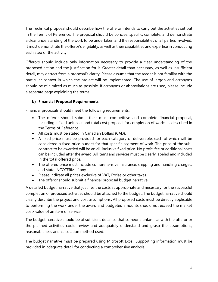The Technical proposal should describe how the offeror intends to carry out the activities set out in the Terms of Reference. The proposal should be concise, specific, complete, and demonstrate a clear understanding of the work to be undertaken and the responsibilities of all parties involved. It must demonstrate the offeror's eligibility, as well as their capabilities and expertise in conducting each step of the activity.

Offerors should include only information necessary to provide a clear understanding of the proposed action and the justification for it. Greater detail than necessary, as well as insufficient detail, may detract from a proposal's clarity. Please assume that the reader is not familiar with the particular context in which the project will be implemented. The use of jargon and acronyms should be minimized as much as possible. If acronyms or abbreviations are used, please include a separate page explaining the terms.

#### **b) Financial Proposal Requirements**

Financial proposals should meet the following requirements:

- The offeror should submit their most competitive and complete financial proposal, including a fixed unit cost and total cost proposal for completion of works as described in the Terms of Reference.
- All costs must be stated in Canadian Dollars (CAD).
- A fixed price must be provided for each category of deliverable, each of which will be considered a fixed price budget for that specific segment of work. The price of the subcontract to be awarded will be an all-inclusive fixed price. No profit, fee or additional costs can be included after the award. All items and services must be clearly labeled and included in the total offered price.
- The offered price must include comprehensive insurance, shipping and handling charges, and state INCOTERM, if any.
- Please indicate all prices exclusive of VAT, Excise or other taxes.
- The offeror should submit a financial proposal budget narrative.

A detailed budget narrative that justifies the costs as appropriate and necessary for the successful completion of proposed activities should be attached to the budget. The budget narrative should clearly describe the project and cost assumptions**.** All proposed costs must be directly applicable to performing the work under the award and budgeted amounts should not exceed the market cost/ value of an item or service.

The budget narrative should be of sufficient detail so that someone unfamiliar with the offeror or the planned activities could review and adequately understand and grasp the assumptions, reasonableness and calculation method used.

The budget narrative must be prepared using Microsoft Excel. Supporting information must be provided in adequate detail for conducting a comprehensive analysis.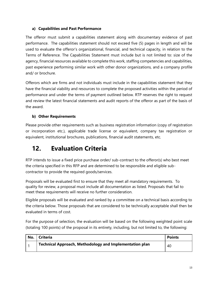#### **a) Capabilities and Past Performance**

The offeror must submit a capabilities statement along with documentary evidence of past performance. The capabilities statement should not exceed five (5) pages in length and will be used to evaluate the offeror's organizational, financial, and technical capacity, in relation to the Terms of Reference. The Capabilities Statement must include but is not limited to: size of the agency, financial resources available to complete this work, staffing competencies and capabilities, past experience performing similar work with other donor organizations, and a company profile and/ or brochure.

Offerors which are firms and not individuals must include in the capabilities statement that they have the financial viability and resources to complete the proposed activities within the period of performance and under the terms of payment outlined below. RTP reserves the right to request and review the latest financial statements and audit reports of the offeror as part of the basis of the award.

#### **b) Other Requirements**

Please provide other requirements such as business registration information (copy of registration or incorporation etc.), applicable trade license or equivalent, company tax registration or equivalent, institutional brochures, publications, financial audit statements, etc.

### **12. Evaluation Criteria**

RTP intends to issue a fixed price purchase order/ sub-contract to the offeror(s) who best meet the criteria specified in this RFP and are determined to be responsible and eligible subcontractor to provide the required goods/services.

Proposals will be evaluated first to ensure that they meet all mandatory requirements. To quality for review, a proposal must include all documentation as listed. Proposals that fail to meet these requirements will receive no further consideration.

Eligible proposals will be evaluated and ranked by a committee on a technical basis according to the criteria below. Those proposals that are considered to be technically acceptable shall then be evaluated in terms of cost.

For the purpose of selection, the evaluation will be based on the following weighted point scale (totaling 100 points) of the proposal in its entirety, including, but not limited to, the following:

| No. | <b>Criteria</b>                                         | <b>Points</b> |
|-----|---------------------------------------------------------|---------------|
|     | Technical Approach, Methodology and Implementation plan | 40            |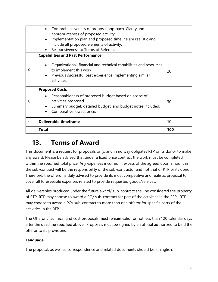|   | Comprehensiveness of proposal approach. Clarity and<br>appropriateness of proposed activity.<br>Implementation plan and proposed timeline are realistic and<br>include all proposed elements of activity.<br>Responsiveness to Terms of Reference. |     |
|---|----------------------------------------------------------------------------------------------------------------------------------------------------------------------------------------------------------------------------------------------------|-----|
| 2 | <b>Capabilities and Past Performance</b><br>Organizational, financial and technical capabilities and resources<br>to implement this work.<br>Previous successful past experience implementing similar<br>$\bullet$<br>activities.                  | 20  |
| 3 | <b>Proposed Costs</b><br>Reasonableness of proposed budget based on scope of<br>activities proposed.<br>Summary budget, detailed budget, and budget notes included.<br>Comparative lowest price.                                                   | 30  |
| 4 | <b>Deliverable timeframe</b>                                                                                                                                                                                                                       | 10  |
|   | <b>Total</b>                                                                                                                                                                                                                                       | 100 |

## **13. Terms of Award**

This document is a request for proposals only, and in no way obligates RTP or its donor to make any award. Please be advised that under a fixed price contract the work must be completed within the specified total price. Any expenses incurred in excess of the agreed upon amount in the sub-contract will be the responsibility of the sub-contractor and not that of RTP or its donor. Therefore, the offeror is duly advised to provide its most competitive and realistic proposal to cover all foreseeable expenses related to provide requested goods/services.

All deliverables produced under the future award/ sub-contract shall be considered the property of RTP. RTP may choose to award a PO/ sub-contract for part of the activities in the RFP. RTP may choose to award a PO/ sub-contract to more than one offeror for specific parts of the activities in the RFP.

The Offeror's technical and cost proposals must remain valid for not less than 120 calendar days after the deadline specified above. Proposals must be signed by an official authorized to bind the offeror to its provisions.

### **Language**

The proposal, as well as correspondence and related documents should be in English.